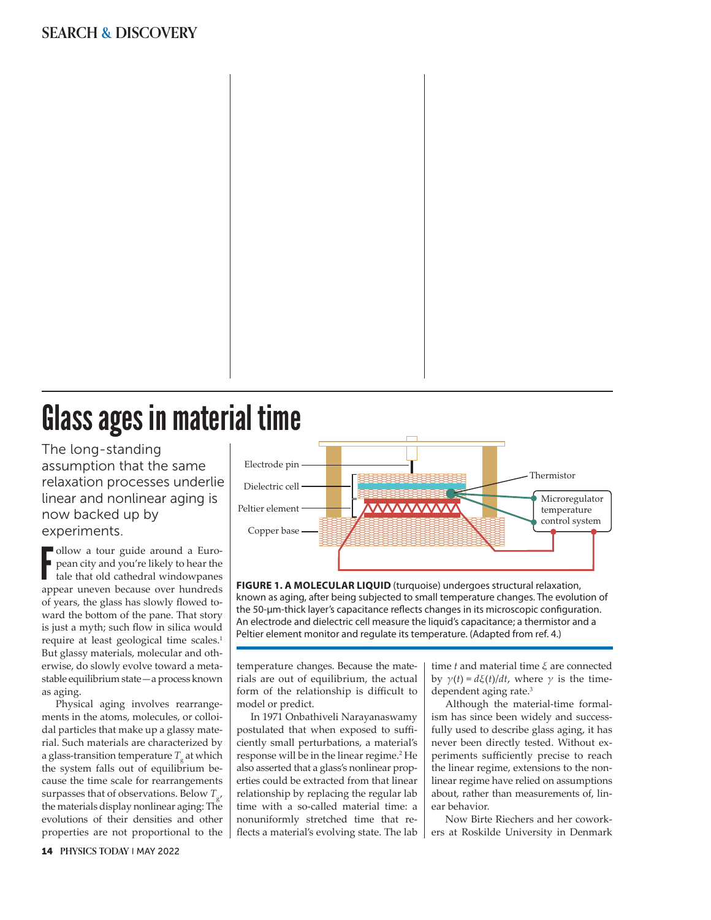# **SEARCH & DISCOVERY**



The long- standing assumption that the same relaxation processes underlie linear and nonlinear aging is now backed up by experiments.

Follow a tour guide around a Euro-<br>pean city and you're likely to hear the<br>tale that old cathedral window<br>panes<br>appear uneven because over hundreds ollow a tour guide around a European city and you're likely to hear the tale that old cathedral windowpanes of years, the glass has slowly flowed toward the bottom of the pane. That story is just a myth; such flow in silica would require at least geological time scales.1 But glassy materials, molecular and otherwise, do slowly evolve toward a metastable equilibrium state— a process known as aging.

Physical aging involves rearrangements in the atoms, molecules, or colloidal particles that make up a glassy material. Such materials are characterized by a glass-transition temperature  $T_{\rm g}^{\,}$  at which the system falls out of equilibrium because the time scale for rearrangements surpasses that of observations. Below *T*g, the materials display nonlinear aging: The evolutions of their densities and other properties are not proportional to the



**FIGURE 1. A MOLECULAR LIQUID** (turquoise) undergoes structural relaxation, known as aging, after being subjected to small temperature changes. The evolution of the 50-μm-thick layer's capacitance reflects changes in its microscopic configuration. An electrode and dielectric cell measure the liquid's capacitance; a thermistor and a Peltier element monitor and regulate its temperature. (Adapted from ref. 4.)

temperature changes. Because the materials are out of equilibrium, the actual form of the relationship is difficult to model or predict.

In 1971 Onbathiveli Narayanaswamy postulated that when exposed to sufficiently small perturbations, a material's response will be in the linear regime.2 He also asserted that a glass's nonlinear properties could be extracted from that linear relationship by replacing the regular lab time with a so-called material time: a nonuniformly stretched time that reflects a material's evolving state. The lab

time *t* and material time *ξ* are connected by *γ*(*t*) = *dξ*(*t*)/*dt*, where *γ* is the timedependent aging rate.3

Although the material-time formalism has since been widely and successfully used to describe glass aging, it has never been directly tested. Without experiments sufficiently precise to reach the linear regime, extensions to the nonlinear regime have relied on assumptions about, rather than measurements of, linear behavior.

Now Birte Riechers and her coworkers at Roskilde University in Denmark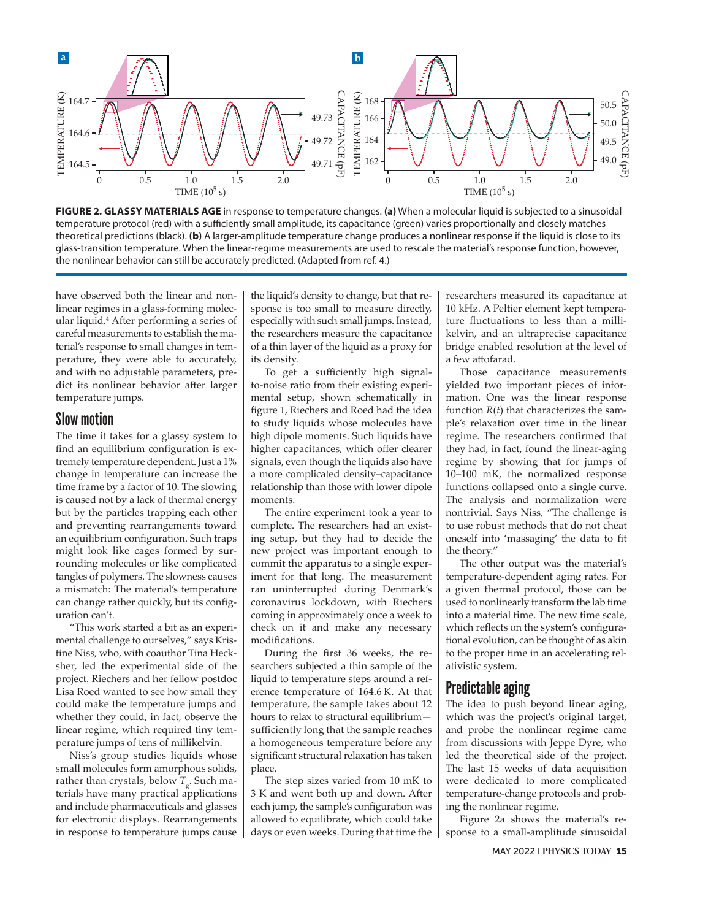

**FIGURE 2. GLASSY MATERIALS AGE** in response to temperature changes. **(a)** When a molecular liquid is subjected to a sinusoidal temperature protocol (red) with a sufficiently small amplitude, its capacitance (green) varies proportionally and closely matches theoretical predictions (black). (b) A larger-amplitude temperature change produces a nonlinear response if the liquid is close to its glass- transition temperature. When the linear- regime measurements are used to rescale the material's response function, however, the nonlinear behavior can still be accurately predicted. (Adapted from ref. 4.)

have observed both the linear and nonlinear regimes in a glass-forming molecular liquid.<sup>4</sup> After performing a series of careful measurements to establish the material's response to small changes in temperature, they were able to accurately, and with no adjustable parameters, predict its nonlinear behavior after larger temperature jumps.

### Slow motion

The time it takes for a glassy system to find an equilibrium configuration is extremely temperature dependent. Just a 1% change in temperature can increase the time frame by a factor of 10. The slowing is caused not by a lack of thermal energy but by the particles trapping each other and preventing rearrangements toward an equilibrium configuration. Such traps might look like cages formed by surrounding molecules or like complicated tangles of polymers. The slowness causes a mismatch: The material's temperature can change rather quickly, but its configuration can't.

"This work started a bit as an experimental challenge to ourselves," says Kristine Niss, who, with coauthor Tina Hecksher, led the experimental side of the project. Riechers and her fellow postdoc Lisa Roed wanted to see how small they could make the temperature jumps and whether they could, in fact, observe the linear regime, which required tiny temperature jumps of tens of millikelvin.

Niss's group studies liquids whose small molecules form amorphous solids, rather than crystals, below  $T_{\rm g}$ . Such materials have many practical applications and include pharmaceuticals and glasses for electronic displays. Rearrangements in response to temperature jumps cause

the liquid's density to change, but that response is too small to measure directly, especially with such small jumps. Instead, the researchers measure the capacitance of a thin layer of the liquid as a proxy for its density.

To get a sufficiently high signal to- noise ratio from their existing experimental setup, shown schematically in figure 1, Riechers and Roed had the idea to study liquids whose molecules have high dipole moments. Such liquids have higher capacitances, which offer clearer signals, even though the liquids also have a more complicated density-capacitance relationship than those with lower dipole moments.

The entire experiment took a year to complete. The researchers had an existing setup, but they had to decide the new project was important enough to commit the apparatus to a single experiment for that long. The measurement ran uninterrupted during Denmark's coronavirus lockdown, with Riechers coming in approximately once a week to check on it and make any necessary modifications.

During the first 36 weeks, the researchers subjected a thin sample of the liquid to temperature steps around a reference temperature of 164.6 K. At that temperature, the sample takes about 12 hours to relax to structural equilibrium sufficiently long that the sample reaches a homogeneous temperature before any significant structural relaxation has taken place.

The step sizes varied from 10 mK to 3 K and went both up and down. After each jump, the sample's configuration was allowed to equilibrate, which could take days or even weeks. During that time the researchers measured its capacitance at 10 kHz. A Peltier element kept temperature fluctuations to less than a millikelvin, and an ultraprecise capacitance bridge enabled resolution at the level of a few attofarad.

Those capacitance measurements yielded two important pieces of information. One was the linear response function *R*(*t*) that characterizes the sample's relaxation over time in the linear regime. The researchers confirmed that they had, in fact, found the linear-aging regime by showing that for jumps of 10–100 mK, the normalized response functions collapsed onto a single curve. The analysis and normalization were nontrivial. Says Niss, "The challenge is to use robust methods that do not cheat oneself into 'massaging' the data to fit the theory."

The other output was the material's temperature- dependent aging rates. For a given thermal protocol, those can be used to nonlinearly transform the lab time into a material time. The new time scale, which reflects on the system's configurational evolution, can be thought of as akin to the proper time in an accelerating relativistic system.

### Predictable aging

The idea to push beyond linear aging, which was the project's original target, and probe the nonlinear regime came from discussions with Jeppe Dyre, who led the theoretical side of the project. The last 15 weeks of data acquisition were dedicated to more complicated temperature- change protocols and probing the nonlinear regime.

Figure 2a shows the material's response to a small-amplitude sinusoidal